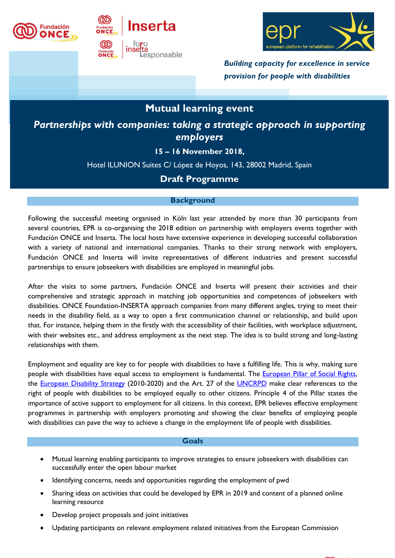





*Building capacity for excellence in service provision for people with disabilities*

# **Mutual learning event**

*Partnerships with companies: taking a strategic approach in supporting employers*

## **15 – 16 November 2018,**

Hotel ILUNION Suites C/ López de Hoyos, 143, 28002 Madrid, Spain

# **Draft Programme**

### **Background**

Following the successful meeting organised in Köln last year attended by more than 30 participants from several countries, EPR is co-organising the 2018 edition on partnership with employers events together with Fundación ONCE and Inserta. The local hosts have extensive experience in developing successful collaboration with a variety of national and international companies. Thanks to their strong network with employers, Fundación ONCE and Inserta will invite representatives of different industries and present successful partnerships to ensure jobseekers with disabilities are employed in meaningful jobs.

After the visits to some partners, Fundación ONCE and Inserta will present their activities and their comprehensive and strategic approach in matching job opportunities and competences of jobseekers with disabilities. ONCE Foundation-INSERTA approach companies from many different angles, trying to meet their needs in the disability field, as a way to open a first communication channel or relationship, and build upon that. For instance, helping them in the firstly with the accessibility of their facilities, with workplace adjustment, with their websites etc., and address employment as the next step. The idea is to build strong and long-lasting relationships with them.

Employment and equality are key to for people with disabilities to have a fulfilling life. This is why, making sure people with disabilities have equal access to employment is fundamental. The **European Pillar of Social Rights**, the [European Disability Strategy](https://www.epr.eu/european-disability-strategy_epr-contribution/) (2010-2020) and the Art. 27 of the [UNCRPD](https://www.un.org/development/desa/disabilities/convention-on-the-rights-of-persons-with-disabilities/article-27-work-and-employment.html) make clear references to the right of people with disabilities to be employed equally to other citizens. Principle 4 of the Pillar states the importance of active support to employment for all citizens. In this context, EPR believes effective employment programmes in partnership with employers promoting and showing the clear benefits of employing people with disabilities can pave the way to achieve a change in the employment life of people with disabilities.

#### **Goals**

- Mutual learning enabling participants to improve strategies to ensure jobseekers with disabilities can successfully enter the open labour market
- Identifying concerns, needs and opportunities regarding the employment of pwd
- Sharing ideas on activities that could be developed by EPR in 2019 and content of a planned online learning resource
- Develop project proposals and joint initiatives
- Updating participants on relevant employment related initiatives from the European Commission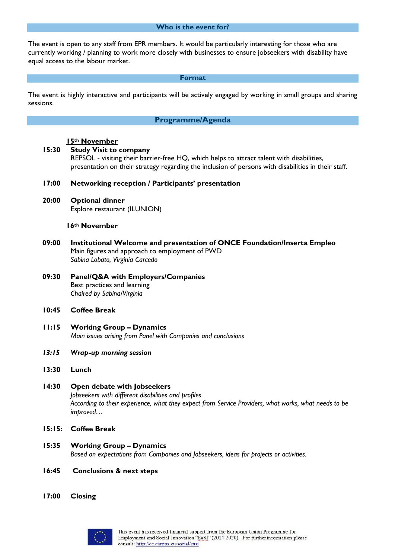#### **Who is the event for?**

The event is open to any staff from EPR members. It would be particularly interesting for those who are currently working / planning to work more closely with businesses to ensure jobseekers with disability have equal access to the labour market.

#### **Format**

The event is highly interactive and participants will be actively engaged by working in small groups and sharing sessions.

#### **Programme/Agenda**

#### **15th November**

- **15:30 Study Visit to company** REPSOL - visiting their barrier-free HQ, which helps to attract talent with disabilities, presentation on their strategy regarding the inclusion of persons with disabilities in their staff.
	- **17:00 Networking reception / Participants' presentation**
	- **20:00 Optional dinner** Esplore restaurant (ILUNION)

#### **16th November**

- **09:00 Institutional Welcome and presentation of ONCE Foundation/Inserta Empleo** Main figures and approach to employment of PWD *Sabina Lobato, Virginia Carcedo*
- **09:30 Panel/Q&A with Employers/Companies** Best practices and learning *Chaired by Sabina/Virginia*
- **10:45 Coffee Break**
- **11:15 Working Group – Dynamics** *Main issues arising from Panel with Companies and conclusions*
- *13:15 Wrap-up morning session*
- **13:30 Lunch**

#### **14:30 Open debate with Jobseekers**  *Jobseekers with different disabilities and profiles According to their experience, what they expect from Service Providers, what works, what needs to be improved…*

- **15:15: Coffee Break**
- **15:35 Working Group – Dynamics** *Based on expectations from Companies and Jobseekers, ideas for projects or activities.*
- **16:45 Conclusions & next steps**
- **17:00 Closing**